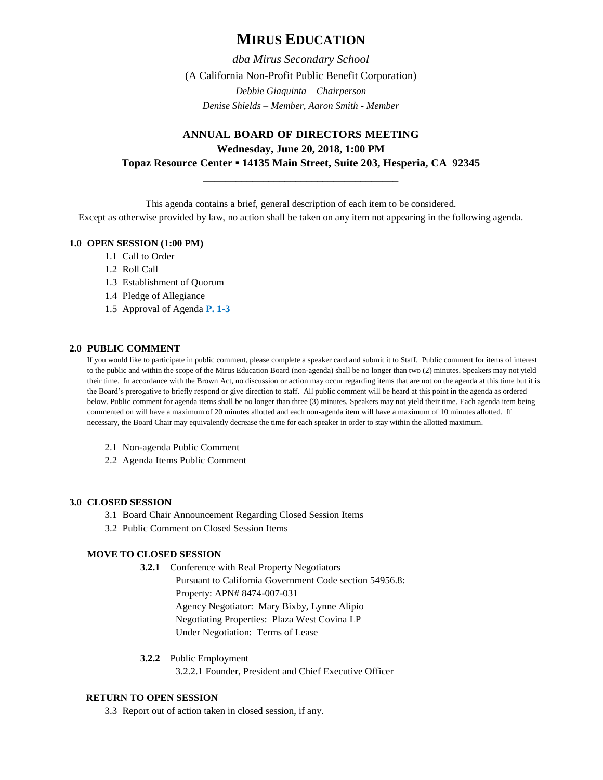# **MIRUS EDUCATION**

*dba Mirus Secondary School* (A California Non-Profit Public Benefit Corporation) *Debbie Giaquinta – Chairperson Denise Shields – Member, Aaron Smith - Member*

# **ANNUAL BOARD OF DIRECTORS MEETING Wednesday, June 20, 2018, 1:00 PM Topaz Resource Center ▪ 14135 Main Street, Suite 203, Hesperia, CA 92345**

\_\_\_\_\_\_\_\_\_\_\_\_\_\_\_\_\_\_\_\_\_\_\_\_\_\_\_\_\_\_\_\_\_\_\_\_

This agenda contains a brief, general description of each item to be considered.

Except as otherwise provided by law, no action shall be taken on any item not appearing in the following agenda.

# **1.0 OPEN SESSION (1:00 PM)**

- 1.1 Call to Order
- 1.2 Roll Call
- 1.3 Establishment of Quorum
- 1.4 Pledge of Allegiance
- 1.5 Approval of Agenda **P. 1-3**

# **2.0 PUBLIC COMMENT**

If you would like to participate in public comment, please complete a speaker card and submit it to Staff. Public comment for items of interest to the public and within the scope of the Mirus Education Board (non-agenda) shall be no longer than two (2) minutes. Speakers may not yield their time. In accordance with the Brown Act, no discussion or action may occur regarding items that are not on the agenda at this time but it is the Board's prerogative to briefly respond or give direction to staff. All public comment will be heard at this point in the agenda as ordered below. Public comment for agenda items shall be no longer than three (3) minutes. Speakers may not yield their time. Each agenda item being commented on will have a maximum of 20 minutes allotted and each non-agenda item will have a maximum of 10 minutes allotted. If necessary, the Board Chair may equivalently decrease the time for each speaker in order to stay within the allotted maximum.

- 2.1 Non-agenda Public Comment
- 2.2 Agenda Items Public Comment

# **3.0 CLOSED SESSION**

- 3.1 Board Chair Announcement Regarding Closed Session Items
- 3.2 Public Comment on Closed Session Items

# **MOVE TO CLOSED SESSION**

**3.2.1** Conference with Real Property Negotiators

Pursuant to California Government Code section 54956.8: Property: APN# 8474-007-031 Agency Negotiator: Mary Bixby, Lynne Alipio Negotiating Properties: Plaza West Covina LP Under Negotiation: Terms of Lease

**3.2.2** Public Employment

3.2.2.1 Founder, President and Chief Executive Officer

# **RETURN TO OPEN SESSION**

3.3 Report out of action taken in closed session, if any.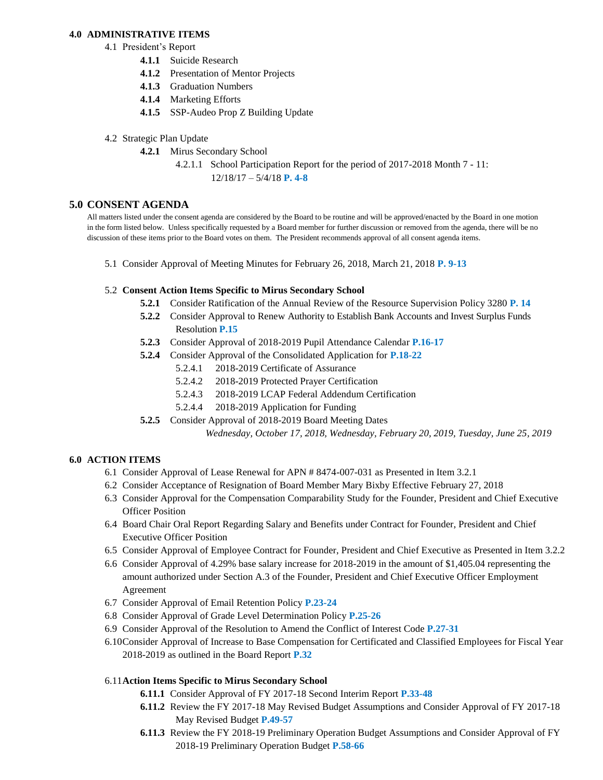#### **4.0 ADMINISTRATIVE ITEMS**

- 4.1 President's Report
	- **4.1.1** Suicide Research
	- **4.1.2** Presentation of Mentor Projects
	- **4.1.3** Graduation Numbers
	- **4.1.4** Marketing Efforts
	- **4.1.5** SSP-Audeo Prop Z Building Update
- 4.2 Strategic Plan Update
	- **4.2.1** Mirus Secondary School
		- 4.2.1.1 School Participation Report for the period of 2017-2018 Month 7 11:
			- 12/18/17 5/4/18 **P. 4-8**

#### **5.0 CONSENT AGENDA**

All matters listed under the consent agenda are considered by the Board to be routine and will be approved/enacted by the Board in one motion in the form listed below. Unless specifically requested by a Board member for further discussion or removed from the agenda, there will be no discussion of these items prior to the Board votes on them. The President recommends approval of all consent agenda items.

5.1 Consider Approval of Meeting Minutes for February 26, 2018, March 21, 2018 **P. 9-13**

#### 5.2 **Consent Action Items Specific to Mirus Secondary School**

- **5.2.1** Consider Ratification of the Annual Review of the Resource Supervision Policy 3280 **P. 14**
- **5.2.2** Consider Approval to Renew Authority to Establish Bank Accounts and Invest Surplus Funds Resolution **P.15**
- **5.2.3** Consider Approval of 2018-2019 Pupil Attendance Calendar **P.16-17**
- **5.2.4** Consider Approval of the Consolidated Application for **P.18-22**
	- 5.2.4.1 2018-2019 Certificate of Assurance
	- 5.2.4.2 2018-2019 Protected Prayer Certification
	- 5.2.4.3 2018-2019 LCAP Federal Addendum Certification
	- 5.2.4.4 2018-2019 Application for Funding
- **5.2.5** Consider Approval of 2018-2019 Board Meeting Dates

*Wednesday, October 17, 2018, Wednesday, February 20, 2019, Tuesday, June 25, 2019*

# **6.0 ACTION ITEMS**

- 6.1 Consider Approval of Lease Renewal for APN # 8474-007-031 as Presented in Item 3.2.1
- 6.2 Consider Acceptance of Resignation of Board Member Mary Bixby Effective February 27, 2018
- 6.3 Consider Approval for the Compensation Comparability Study for the Founder, President and Chief Executive Officer Position
- 6.4 Board Chair Oral Report Regarding Salary and Benefits under Contract for Founder, President and Chief Executive Officer Position
- 6.5 Consider Approval of Employee Contract for Founder, President and Chief Executive as Presented in Item 3.2.2
- 6.6 Consider Approval of 4.29% base salary increase for 2018-2019 in the amount of \$1,405.04 representing the amount authorized under Section A.3 of the Founder, President and Chief Executive Officer Employment Agreement
- 6.7 Consider Approval of Email Retention Policy **P.23-24**
- 6.8 Consider Approval of Grade Level Determination Policy **P.25-26**
- 6.9 Consider Approval of the Resolution to Amend the Conflict of Interest Code **P.27-31**
- 6.10Consider Approval of Increase to Base Compensation for Certificated and Classified Employees for Fiscal Year 2018-2019 as outlined in the Board Report **P.32**

#### 6.11**Action Items Specific to Mirus Secondary School**

- **6.11.1** Consider Approval of FY 2017-18 Second Interim Report **P.33-48**
- **6.11.2** Review the FY 2017-18 May Revised Budget Assumptions and Consider Approval of FY 2017-18 May Revised Budget **P.49-57**
- **6.11.3** Review the FY 2018-19 Preliminary Operation Budget Assumptions and Consider Approval of FY 2018-19 Preliminary Operation Budget **P.58-66**